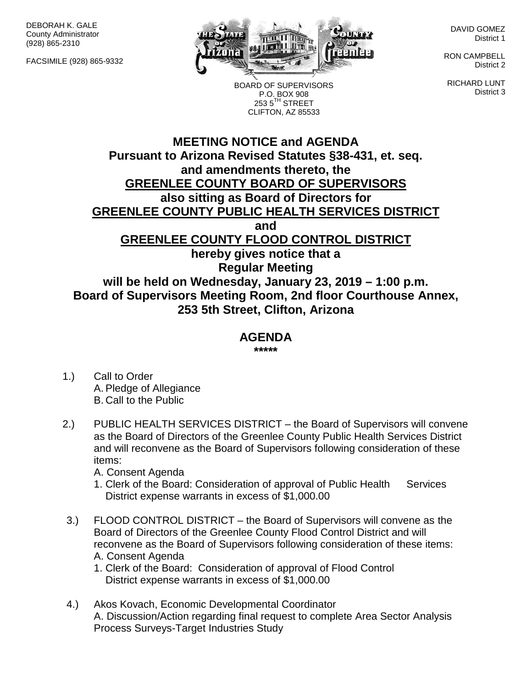DEBORAH K. GALE County Administrator (928) 865-2310

FACSIMILE (928) 865-9332



DAVID GOMEZ District 1

RON CAMPBELL District 2

RICHARD LUNT District 3

P.O. BOX 908  $2535^{\text{TH}}$  STREET CLIFTON, AZ 85533

BOARD OF SUPERVISORS

## **MEETING NOTICE and AGENDA Pursuant to Arizona Revised Statutes §38-431, et. seq. and amendments thereto, the GREENLEE COUNTY BOARD OF SUPERVISORS also sitting as Board of Directors for GREENLEE COUNTY PUBLIC HEALTH SERVICES DISTRICT and GREENLEE COUNTY FLOOD CONTROL DISTRICT hereby gives notice that a Regular Meeting will be held on Wednesday, January 23, 2019 – 1:00 p.m. Board of Supervisors Meeting Room, 2nd floor Courthouse Annex, 253 5th Street, Clifton, Arizona**

## **AGENDA**

**\*\*\*\*\***

- 1.) Call to Order A. Pledge of Allegiance B. Call to the Public
- 2.) PUBLIC HEALTH SERVICES DISTRICT the Board of Supervisors will convene as the Board of Directors of the Greenlee County Public Health Services District and will reconvene as the Board of Supervisors following consideration of these items:
	- A. Consent Agenda
	- 1. Clerk of the Board: Consideration of approval of Public Health Services District expense warrants in excess of \$1,000.00
- 3.) FLOOD CONTROL DISTRICT the Board of Supervisors will convene as the Board of Directors of the Greenlee County Flood Control District and will reconvene as the Board of Supervisors following consideration of these items: A. Consent Agenda
	- 1. Clerk of the Board: Consideration of approval of Flood Control District expense warrants in excess of \$1,000.00
- 4.) Akos Kovach, Economic Developmental Coordinator A. Discussion/Action regarding final request to complete Area Sector Analysis Process Surveys-Target Industries Study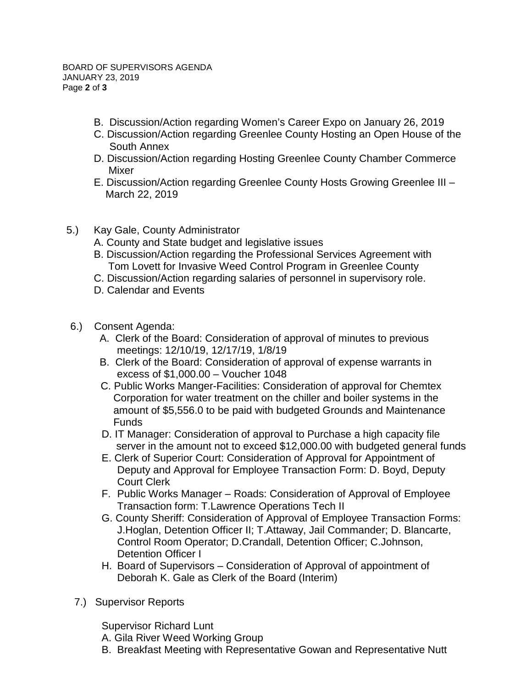- B. Discussion/Action regarding Women's Career Expo on January 26, 2019
- C. Discussion/Action regarding Greenlee County Hosting an Open House of the South Annex
- D. Discussion/Action regarding Hosting Greenlee County Chamber Commerce Mixer
- E. Discussion/Action regarding Greenlee County Hosts Growing Greenlee III March 22, 2019
- 5.) Kay Gale, County Administrator
	- A. County and State budget and legislative issues
	- B. Discussion/Action regarding the Professional Services Agreement with Tom Lovett for Invasive Weed Control Program in Greenlee County
	- C. Discussion/Action regarding salaries of personnel in supervisory role.
	- D. Calendar and Events
- 6.) Consent Agenda:
	- A. Clerk of the Board: Consideration of approval of minutes to previous meetings: 12/10/19, 12/17/19, 1/8/19
	- B. Clerk of the Board: Consideration of approval of expense warrants in excess of \$1,000.00 – Voucher 1048
	- C. Public Works Manger-Facilities: Consideration of approval for Chemtex Corporation for water treatment on the chiller and boiler systems in the amount of \$5,556.0 to be paid with budgeted Grounds and Maintenance Funds
	- D. IT Manager: Consideration of approval to Purchase a high capacity file server in the amount not to exceed \$12,000.00 with budgeted general funds
	- E. Clerk of Superior Court: Consideration of Approval for Appointment of Deputy and Approval for Employee Transaction Form: D. Boyd, Deputy Court Clerk
	- F. Public Works Manager Roads: Consideration of Approval of Employee Transaction form: T.Lawrence Operations Tech II
	- G. County Sheriff: Consideration of Approval of Employee Transaction Forms: J.Hoglan, Detention Officer II; T.Attaway, Jail Commander; D. Blancarte, Control Room Operator; D.Crandall, Detention Officer; C.Johnson, Detention Officer I
	- H. Board of Supervisors Consideration of Approval of appointment of Deborah K. Gale as Clerk of the Board (Interim)
- 7.) Supervisor Reports

Supervisor Richard Lunt

- A. Gila River Weed Working Group
- B. Breakfast Meeting with Representative Gowan and Representative Nutt